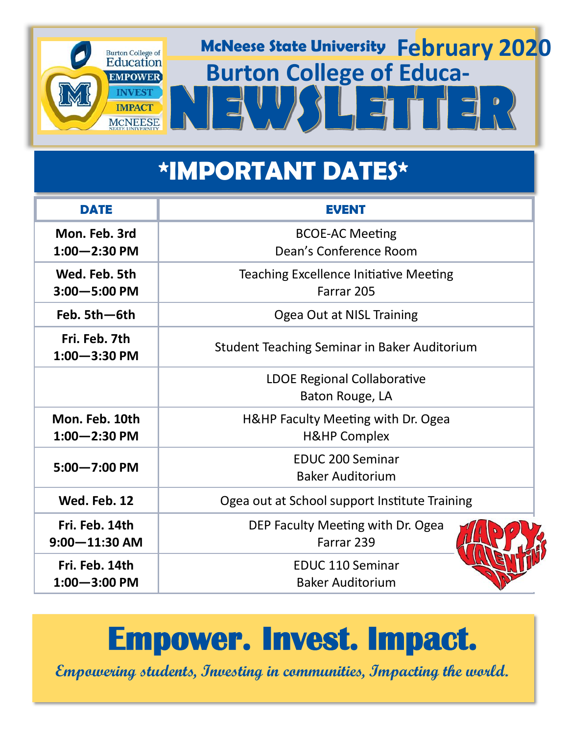

## **\*IMPORTANT DATES\***

| <b>DATE</b>                         | <b>EVENT</b>                                                  |
|-------------------------------------|---------------------------------------------------------------|
| Mon. Feb. 3rd<br>$1:00 - 2:30$ PM   | <b>BCOE-AC Meeting</b><br>Dean's Conference Room              |
| Wed. Feb. 5th<br>$3:00 - 5:00$ PM   | <b>Teaching Excellence Initiative Meeting</b><br>Farrar 205   |
| Feb. 5th-6th                        | Ogea Out at NISL Training                                     |
| Fri. Feb. 7th<br>$1:00 - 3:30$ PM   | <b>Student Teaching Seminar in Baker Auditorium</b>           |
|                                     | <b>LDOE Regional Collaborative</b><br>Baton Rouge, LA         |
| Mon. Feb. 10th<br>$1:00 - 2:30$ PM  | H&HP Faculty Meeting with Dr. Ogea<br><b>H&amp;HP Complex</b> |
| $5:00 - 7:00$ PM                    | <b>EDUC 200 Seminar</b><br><b>Baker Auditorium</b>            |
| Wed. Feb. 12                        | Ogea out at School support Institute Training                 |
| Fri. Feb. 14th<br>$9:00 - 11:30$ AM | DEP Faculty Meeting with Dr. Ogea<br>Farrar 239               |
| Fri. Feb. 14th<br>$1:00 - 3:00$ PM  | <b>EDUC 110 Seminar</b><br><b>Baker Auditorium</b>            |

## **Empower. Invest. Impact.**

**Empowering students, Investing in communities, Impacting the world.**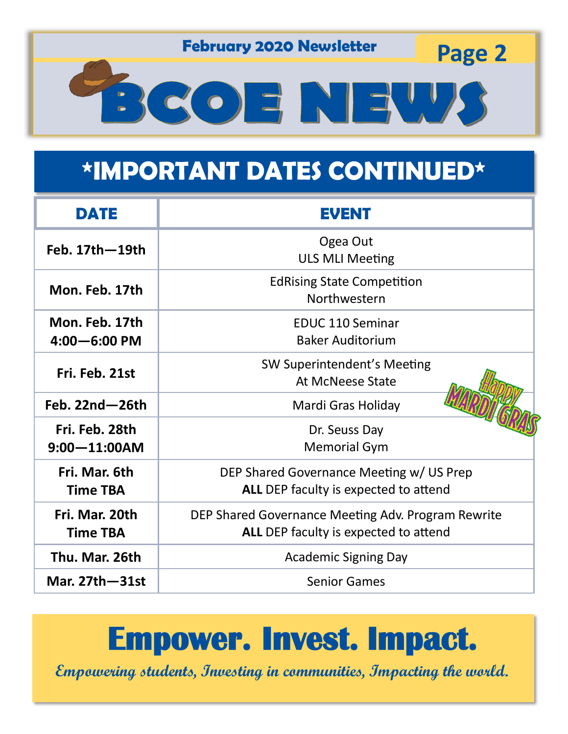**February 2020 Newsletter Page 2** 

# BCOENEW

## **\*IMPORTANT DATES CONTINUED\***

| DATE                                | <b>EVENT</b>                                                                                |
|-------------------------------------|---------------------------------------------------------------------------------------------|
| Feb. 17th-19th                      | Ogea Out<br><b>ULS MLI Meeting</b>                                                          |
| Mon. Feb. 17th                      | <b>EdRising State Competition</b><br>Northwestern                                           |
| Mon. Feb. 17th<br>$4:00 - 6:00$ PM  | <b>EDUC 110 Seminar</b><br><b>Baker Auditorium</b>                                          |
| Fri. Feb. 21st                      | SW Superintendent's Meeting<br><b>At McNeese State</b>                                      |
| Feb. $22nd - 26th$                  | Mardi Gras Holiday                                                                          |
| Fri. Feb. 28th<br>$9:00 - 11:00$ AM | Dr. Seuss Day<br><b>Memorial Gym</b>                                                        |
| Fri. Mar. 6th<br><b>Time TBA</b>    | DEP Shared Governance Meeting w/ US Prep<br>ALL DEP faculty is expected to attend           |
| Fri. Mar. 20th<br><b>Time TBA</b>   | DEP Shared Governance Meeting Adv. Program Rewrite<br>ALL DEP faculty is expected to attend |
| Thu. Mar. 26th                      | <b>Academic Signing Day</b>                                                                 |
| Mar. 27th - 31st                    | <b>Senior Games</b>                                                                         |

## **Empower. Invest. Impact.**

**Empowering students, Investing in communities, Impacting the world.**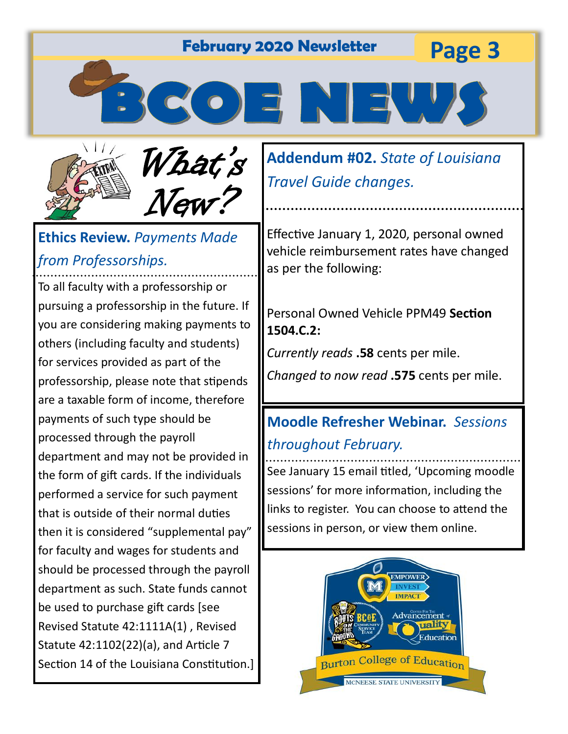**Page 3 February 2020 Newsletter**

3 CO E NEU



What's New?

#### **Ethics Review.** *Payments Made from Professorships.*

To all faculty with a professorship or pursuing a professorship in the future. If you are considering making payments to others (including faculty and students) for services provided as part of the professorship, please note that stipends are a taxable form of income, therefore payments of such type should be processed through the payroll department and may not be provided in the form of gift cards. If the individuals performed a service for such payment that is outside of their normal duties then it is considered "supplemental pay" for faculty and wages for students and should be processed through the payroll department as such. State funds cannot be used to purchase gift cards [see Revised Statute 42:1111A(1) , Revised Statute 42:1102(22)(a), and Article 7 Section 14 of the Louisiana Constitution.] **Addendum #02.** *State of Louisiana Travel Guide changes.*

Effective January 1, 2020, personal owned vehicle reimbursement rates have changed as per the following:

Personal Owned Vehicle PPM49 **Section 1504.C.2:**

*Currently reads* **.58** cents per mile.

*Changed to now read* **.575** cents per mile.

#### **Moodle Refresher Webinar.** *Sessions throughout February.*

See January 15 email titled, 'Upcoming moodle sessions' for more information, including the links to register. You can choose to attend the sessions in person, or view them online.

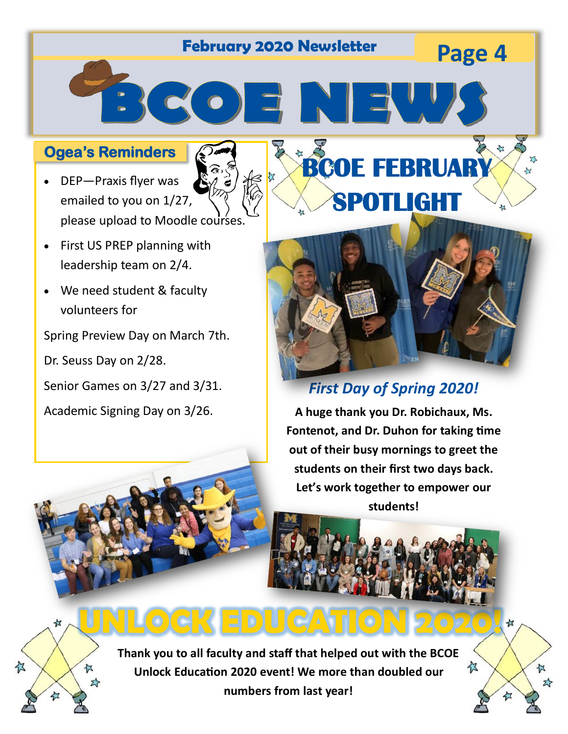## **Page 4 February 2020 Newsletter**

 $\Rightarrow$   $\leq$   $\circ$   $\Rightarrow$   $\Rightarrow$   $\|$ 

#### **Ogea's Reminders**

- DEP—Praxis flyer was emailed to you on 1/27, please upload to Moodle courses.
- First US PREP planning with leadership team on 2/4.
- We need student & faculty volunteers for

Spring Preview Day on March 7th.

Dr. Seuss Day on 2/28.

Senior Games on 3/27 and 3/31.

Academic Signing Day on 3/26.



**BCOE FEBRUARY** 

**SPOTLIGHT** 

#### *First Day of Spring 2020!*

**A huge thank you Dr. Robichaux, Ms. Fontenot, and Dr. Duhon for taking time out of their busy mornings to greet the students on their first two days back. Let's work together to empower our students!** 

亿

☆



**Thank you to all faculty and staff that helped out with the BCOE Unlock Education 2020 event! We more than doubled our numbers from last year!**